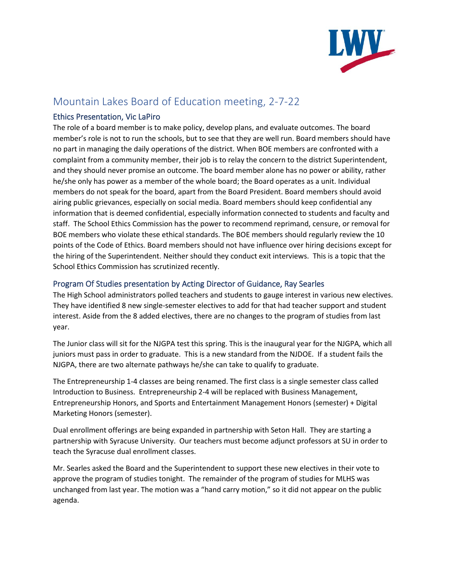

# Mountain Lakes Board of Education meeting, 2-7-22

# Ethics Presentation, Vic LaPiro

The role of a board member is to make policy, develop plans, and evaluate outcomes. The board member's role is not to run the schools, but to see that they are well run. Board members should have no part in managing the daily operations of the district. When BOE members are confronted with a complaint from a community member, their job is to relay the concern to the district Superintendent, and they should never promise an outcome. The board member alone has no power or ability, rather he/she only has power as a member of the whole board; the Board operates as a unit. Individual members do not speak for the board, apart from the Board President. Board members should avoid airing public grievances, especially on social media. Board members should keep confidential any information that is deemed confidential, especially information connected to students and faculty and staff. The School Ethics Commission has the power to recommend reprimand, censure, or removal for BOE members who violate these ethical standards. The BOE members should regularly review the 10 points of the Code of Ethics. Board members should not have influence over hiring decisions except for the hiring of the Superintendent. Neither should they conduct exit interviews. This is a topic that the School Ethics Commission has scrutinized recently.

# Program Of Studies presentation by Acting Director of Guidance, Ray Searles

The High School administrators polled teachers and students to gauge interest in various new electives. They have identified 8 new single-semester electives to add for that had teacher support and student interest. Aside from the 8 added electives, there are no changes to the program of studies from last year.

The Junior class will sit for the NJGPA test this spring. This is the inaugural year for the NJGPA, which all juniors must pass in order to graduate. This is a new standard from the NJDOE. If a student fails the NJGPA, there are two alternate pathways he/she can take to qualify to graduate.

The Entrepreneurship 1-4 classes are being renamed. The first class is a single semester class called Introduction to Business. Entrepreneurship 2-4 will be replaced with Business Management, Entrepreneurship Honors, and Sports and Entertainment Management Honors (semester) + Digital Marketing Honors (semester).

Dual enrollment offerings are being expanded in partnership with Seton Hall. They are starting a partnership with Syracuse University. Our teachers must become adjunct professors at SU in order to teach the Syracuse dual enrollment classes.

Mr. Searles asked the Board and the Superintendent to support these new electives in their vote to approve the program of studies tonight. The remainder of the program of studies for MLHS was unchanged from last year. The motion was a "hand carry motion," so it did not appear on the public agenda.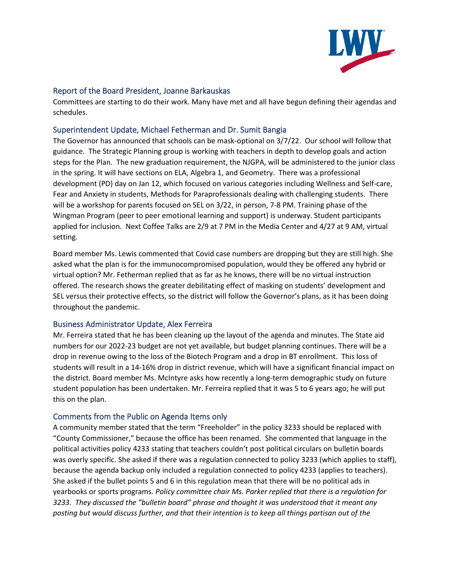

### Report of the Board President, Joanne Barkauskas

Committees are starting to do their work. Many have met and all have begun defining their agendas and schedules.

### Superintendent Update, Michael Fetherman and Dr. Sumit Bangia

The Governor has announced that schools can be mask-optional on 3/7/22. Our school will follow that guidance. The Strategic Planning group is working with teachers in depth to develop goals and action steps for the Plan. The new graduation requirement, the NJGPA, will be administered to the junior class in the spring. It will have sections on ELA, Algebra 1, and Geometry. There was a professional development (PD) day on Jan 12, which focused on various categories including Wellness and Self-care, Fear and Anxiety in students, Methods for Paraprofessionals dealing with challenging students. There will be a workshop for parents focused on SEL on 3/22, in person, 7-8 PM. Training phase of the Wingman Program (peer to peer emotional learning and support) is underway. Student participants applied for inclusion. Next Coffee Talks are 2/9 at 7 PM in the Media Center and 4/27 at 9 AM, virtual setting.

Board member Ms. Lewis commented that Covid case numbers are dropping but they are still high. She asked what the plan is for the immunocompromised population, would they be offered any hybrid or virtual option? Mr. Fetherman replied that as far as he knows, there will be no virtual instruction offered. The research shows the greater debilitating effect of masking on students' development and SEL versus their protective effects, so the district will follow the Governor's plans, as it has been doing throughout the pandemic.

## Business Administrator Update, Alex Ferreira

Mr. Ferreira stated that he has been cleaning up the layout of the agenda and minutes. The State aid numbers for our 2022-23 budget are not yet available, but budget planning continues. There will be a drop in revenue owing to the loss of the Biotech Program and a drop in BT enrollment. This loss of students will result in a 14-16% drop in district revenue, which will have a significant financial impact on the district. Board member Ms. McIntyre asks how recently a long-term demographic study on future student population has been undertaken. Mr. Ferreira replied that it was 5 to 6 years ago; he will put this on the plan.

#### Comments from the Public on Agenda Items only

A community member stated that the term "Freeholder" in the policy 3233 should be replaced with "County Commissioner," because the office has been renamed. She commented that language in the political activities policy 4233 stating that teachers couldn't post political circulars on bulletin boards was overly specific. She asked if there was a regulation connected to policy 3233 (which applies to staff), because the agenda backup only included a regulation connected to policy 4233 (applies to teachers). She asked if the bullet points 5 and 6 in this regulation mean that there will be no political ads in yearbooks or sports programs*. Policy committee chair Ms. Parker replied that there is a regulation for 3233. They discussed the "bulletin board" phrase and thought it was understood that it meant any posting but would discuss further, and that their intention is to keep all things partisan out of the*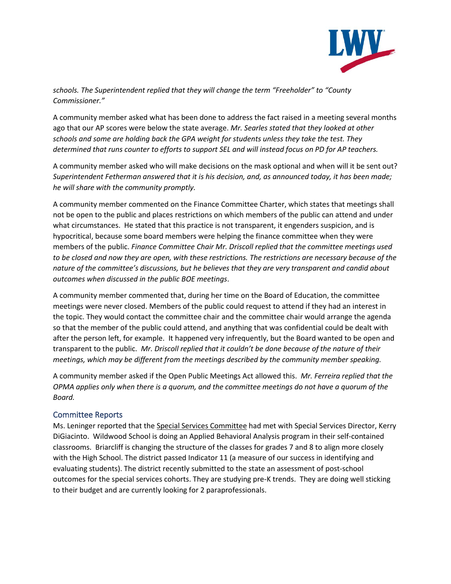

*schools. The Superintendent replied that they will change the term "Freeholder" to "County Commissioner."*

A community member asked what has been done to address the fact raised in a meeting several months ago that our AP scores were below the state average. *Mr. Searles stated that they looked at other schools and some are holding back the GPA weight for students unless they take the test. They determined that runs counter to efforts to support SEL and will instead focus on PD for AP teachers.*

A community member asked who will make decisions on the mask optional and when will it be sent out? *Superintendent Fetherman answered that it is his decision, and, as announced today, it has been made; he will share with the community promptly.* 

A community member commented on the Finance Committee Charter, which states that meetings shall not be open to the public and places restrictions on which members of the public can attend and under what circumstances. He stated that this practice is not transparent, it engenders suspicion, and is hypocritical, because some board members were helping the finance committee when they were members of the public. *Finance Committee Chair Mr. Driscoll replied that the committee meetings used to be closed and now they are open, with these restrictions. The restrictions are necessary because of the nature of the committee's discussions, but he believes that they are very transparent and candid about outcomes when discussed in the public BOE meetings*.

A community member commented that, during her time on the Board of Education, the committee meetings were never closed. Members of the public could request to attend if they had an interest in the topic. They would contact the committee chair and the committee chair would arrange the agenda so that the member of the public could attend, and anything that was confidential could be dealt with after the person left, for example. It happened very infrequently, but the Board wanted to be open and transparent to the public. *Mr. Driscoll replied that it couldn't be done because of the nature of their meetings, which may be different from the meetings described by the community member speaking.*

A community member asked if the Open Public Meetings Act allowed this. *Mr. Ferreira replied that the OPMA applies only when there is a quorum, and the committee meetings do not have a quorum of the Board.*

## Committee Reports

Ms. Leninger reported that the Special Services Committee had met with Special Services Director, Kerry DiGiacinto. Wildwood School is doing an Applied Behavioral Analysis program in their self-contained classrooms. Briarcliff is changing the structure of the classes for grades 7 and 8 to align more closely with the High School. The district passed Indicator 11 (a measure of our success in identifying and evaluating students). The district recently submitted to the state an assessment of post-school outcomes for the special services cohorts. They are studying pre-K trends. They are doing well sticking to their budget and are currently looking for 2 paraprofessionals.